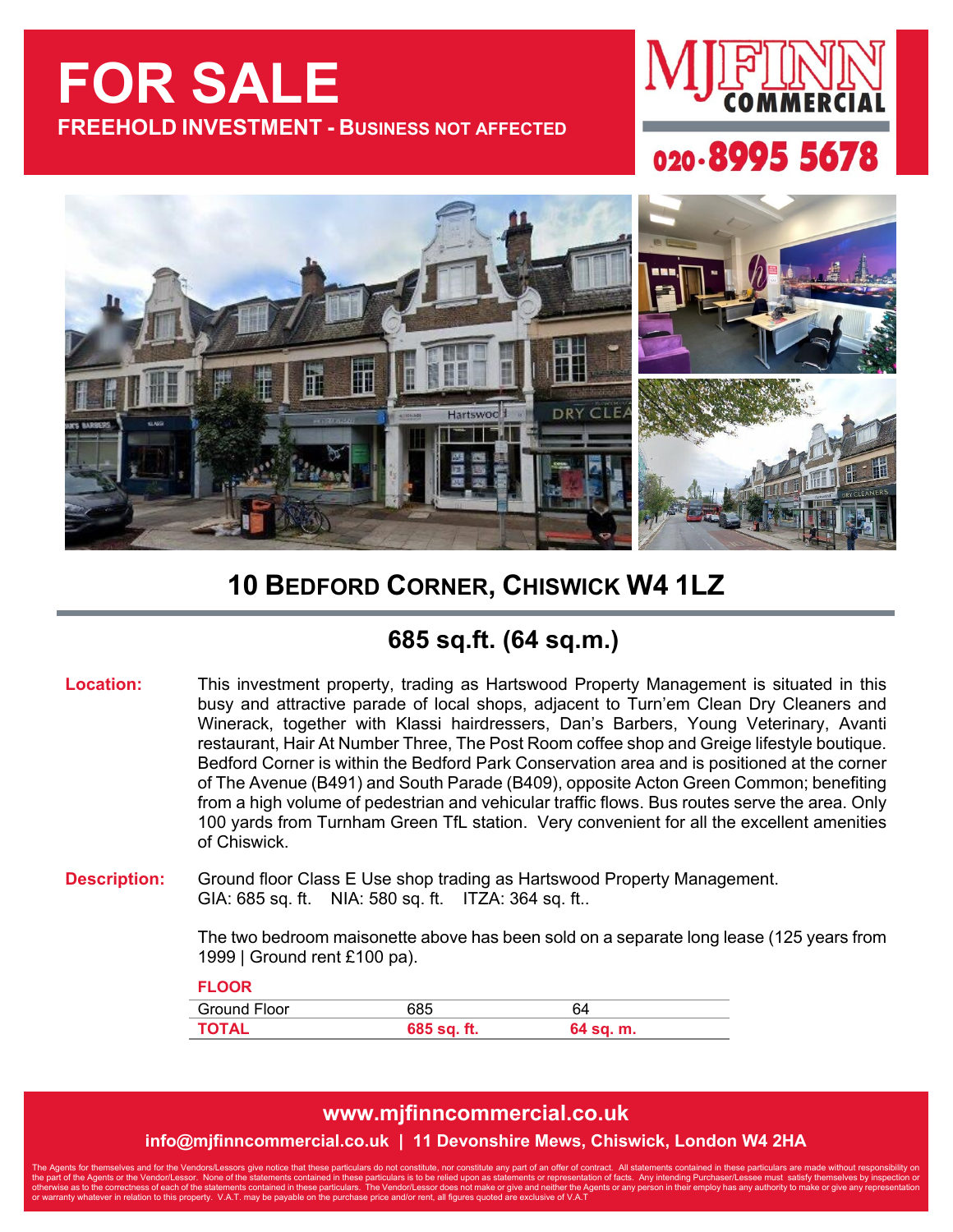# **FOR SALE FREEHOLD INVESTMENT - BUSINESS NOT AFFECTED**







### **10 BEDFORD CORNER, CHISWICK W4 1LZ**

### **685 sq.ft. (64 sq.m.)**

**Location:** This investment property, trading as Hartswood Property Management is situated in this busy and attractive parade of local shops, adjacent to Turn'em Clean Dry Cleaners and Winerack, together with Klassi hairdressers, Dan's Barbers, Young Veterinary, Avanti restaurant, Hair At Number Three, The Post Room coffee shop and Greige lifestyle boutique. Bedford Corner is within the Bedford Park Conservation area and is positioned at the corner of The Avenue (B491) and South Parade (B409), opposite Acton Green Common; benefiting from a high volume of pedestrian and vehicular traffic flows. Bus routes serve the area. Only 100 yards from Turnham Green TfL station. Very convenient for all the excellent amenities of Chiswick.

**Description:** Ground floor Class E Use shop trading as Hartswood Property Management. GIA: 685 sq. ft. NIA: 580 sq. ft. ITZA: 364 sq. ft..

> The two bedroom maisonette above has been sold on a separate long lease (125 years from 1999 | Ground rent £100 pa).

| <b>FLOOR</b>        |             |           |
|---------------------|-------------|-----------|
| <b>Ground Floor</b> | 685         | 64        |
| <b>TOTAL</b>        | 685 sq. ft. | 64 sq. m. |

#### **www.mjfinncommercial.co.uk**

**info@mjfinncommercial.co.uk | 11 Devonshire Mews, Chiswick, London W4 2HA**

The Agents for themselves and for the Vendors/Lessors give notice that these particulars do not constitute, nor constitute any part of an offer of contract. All statements contained in these particulars are made without re the part of the Agents or the Vendor/Lessor. None of the statements contained in these particulars is to be relied upon as statements or representation of facts. Any intending Purchaser/Lessee must satisfy themselves by in otherwise as to the correctness of each of the statements contained in these particulars. The Vendor/Lessor does not make or give and neither the Agents or any person in their employ has any authority to make or give any r or warranty whatever in relation to this property. V.A.T. may be payable on the purchase price and/or rent, all figures quoted are exclusive of V.A.T